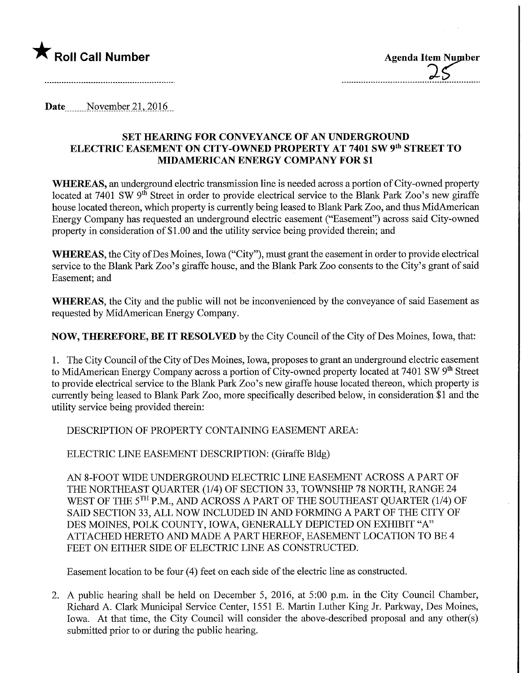

Date November 21, 2016

## SET HEARING FOR CONVEYANCE OF AN UNDERGROUND ELECTRIC EASEMENT ON CITY-OWNED PROPERTY AT 7401 SW 9<sup>th</sup> STREET TO MIDAMERICAN ENERGY COMPANY FOR \$1

WHEREAS, an underground electric transmission line is needed across a portion of City-owned property located at 7401 SW 9<sup>th</sup> Street in order to provide electrical service to the Blank Park Zoo's new giraffe house located thereon, which property is currently being leased to Blank Park Zoo, and thus MidAmerican Energy Company has requested an underground electric easement ("Easement") across said City-owned property in consideration of \$1.00 and the utility service being provided therein; and

WHEREAS, the City of Des Moines, Iowa ("City"), must grant the easement in order to provide electrical service to the Blank Park Zoo's giraffe house, and the Blank Park Zoo consents to the City's grant of said Easement; and

WHEREAS, the City and the public will not be inconvenienced by the conveyance of said Easement as requested by MidAmerican Energy Company.

NOW, THEREFORE, BE IT RESOLVED by the City Council of the City of Des Moines, Iowa, that:

1. The City Council of the City of Des Moines, Iowa, proposes to grant an underground electric easement to MidAmerican Energy Company across a portion of City-owned property located at 7401 SW 9<sup>th</sup> Street to provide electrical service to the Blank Park Zoo's new giraffe house located thereon, which property is currently being leased to Blank Park Zoo, more specifically described below, in consideration \$1 and the utility service being provided therem:

DESCRIPTION OF PROPERTY CONTAINING EASEMENT AREA:

ELECTRIC LINE EASEMENT DESCRIPTION: (Giraffe Bldg)

AN 8-FOOT WIDE UNDERGROUND ELECTRIC LINE EASEMENT ACROSS A PART OF THE NORTHEAST QUARTER (1/4) OF SECTION 33, TOWNSHIP 78 NORTH, RANGE 24 WEST OF THE 5<sup>TH</sup> P.M., AND ACROSS A PART OF THE SOUTHEAST QUARTER (1/4) OF SAID SECTION 33, ALL NOW INCLUDED IN AND FORMING A PART OF THE CITY OF DES MOINES, POLK COUNTY, IOWA, GENERALLY DEPICTED ON EXHIBIT "A" ATTACHED HERETO AND MADE A PART HEREOF, EASEMENT LOCATION TO BE 4 FEET ON EITHER SIDE OF ELECTRIC LINE AS CONSTRUCTED.

Easement location to be four (4) feet on each side of the electric line as constmcted.

2. A public hearing shall be held on December 5, 2016, at 5:00 p.m. in the City Council Chamber, Richard A. Clark Municipal Service Center, 1551 E. Martin Luther King Jr. Parkway, Des Moines, Iowa. At that time, the City Council will consider the above-described proposal and any other(s) submitted prior to or during the public hearing.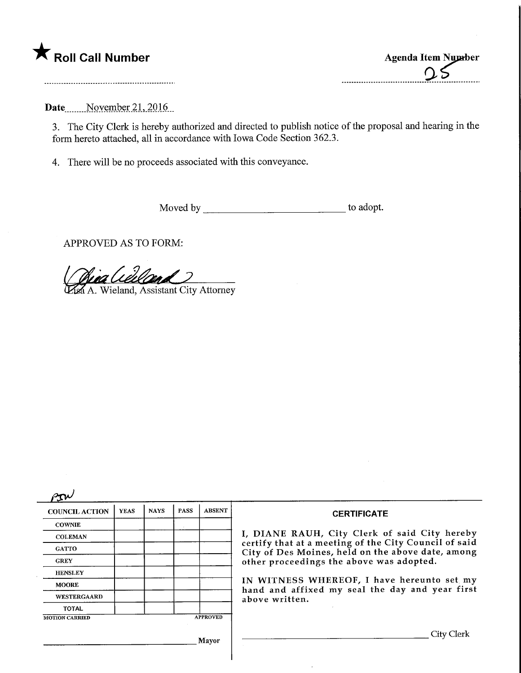

Date November 21, 2016

3. The City Clerk is hereby authorized and directed to publish notice of the proposal and hearing in the form hereto attached, all in accordance with Iowa Code Section 362.3.

4. There will be no proceeds associated with this conveyance.

Moved by to adopt.

APPROVED AS TO FORM:

Léill

A. Wieland, Assistant City Attorney

| <b>COUNCIL ACTION</b> | <b>YEAS</b> | <b>NAYS</b> | <b>PASS</b> | <b>ABSENT</b>   | <b>CERTIFICATE</b>                                                                                                                                                                                      |
|-----------------------|-------------|-------------|-------------|-----------------|---------------------------------------------------------------------------------------------------------------------------------------------------------------------------------------------------------|
| <b>COWNIE</b>         |             |             |             |                 |                                                                                                                                                                                                         |
| <b>COLEMAN</b>        |             |             |             |                 | I, DIANE RAUH, City Clerk of said City hereby<br>certify that at a meeting of the City Council of said<br>City of Des Moines, held on the above date, among<br>other proceedings the above was adopted. |
| <b>GATTO</b>          |             |             |             |                 |                                                                                                                                                                                                         |
| <b>GREY</b>           |             |             |             |                 |                                                                                                                                                                                                         |
| <b>HENSLEY</b>        |             |             |             |                 |                                                                                                                                                                                                         |
| <b>MOORE</b>          |             |             |             |                 | IN WITNESS WHEREOF, I have hereunto set my<br>hand and affixed my seal the day and year first<br>above written.                                                                                         |
| WESTERGAARD           |             |             |             |                 |                                                                                                                                                                                                         |
| <b>TOTAL</b>          |             |             |             |                 |                                                                                                                                                                                                         |
| <b>MOTION CARRIED</b> |             |             |             | <b>APPROVED</b> |                                                                                                                                                                                                         |

 $\bar{.}$